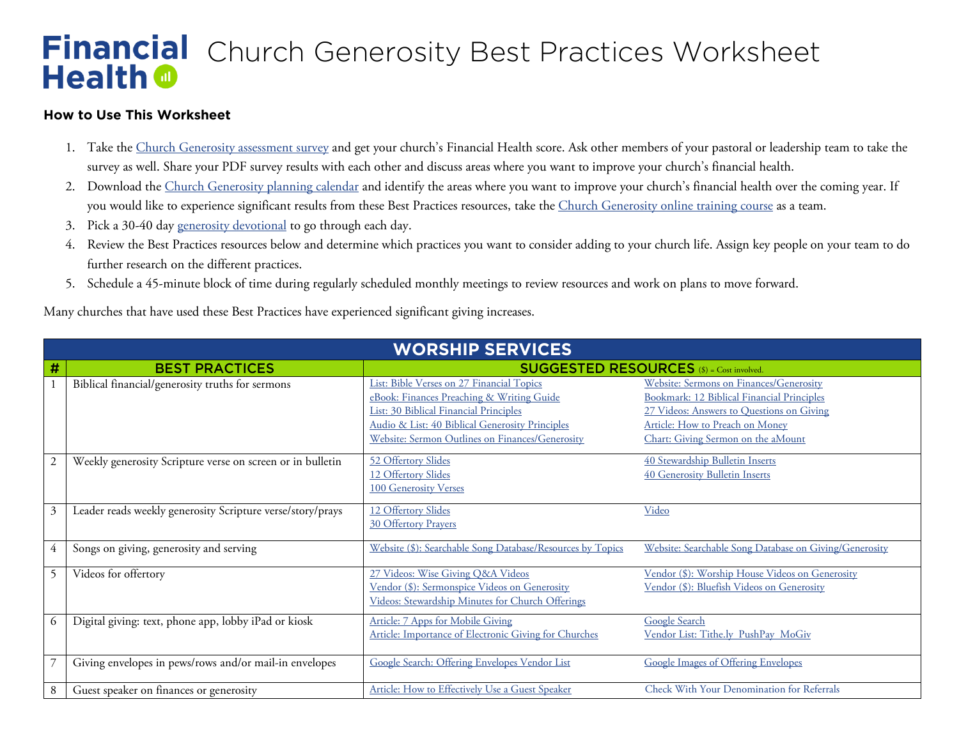## *Church Generosity Best Practices Worksheet*  **Health @**

## **How to Use This Worksheet**

- 1. Take the [Church Generosity assessment survey](http://naefinancialhealth.org/cgsurvey) and get your church's Financial Health score. Ask other members of your pastoral or leadership team to take the survey as well. Share your PDF survey results with each other and discuss areas where you want to improve your church's financial health.
- 2. Download the [Church Generosity planning calendar](http://naefinancialhealth.org/cgcalendar) and identify the areas where you want to improve your church's financial health over the coming year. If you would like to experience significant results from these Best Practices resources, take the [Church Generosity online training course](http://naefinancialhealth.org/cgtraining) as a team.
- 3. Pick a 30-40 day [generosity devotional](http://naefinancialhealth.org/resources/generosity-devotionals/) to go through each day.
- 4. Review the Best Practices resources below and determine which practices you want to consider adding to your church life. Assign key people on your team to do further research on the different practices.
- 5. Schedule a 45-minute block of time during regularly scheduled monthly meetings to review resources and work on plans to move forward.

Many churches that have used these Best Practices have experienced significant giving increases.

| <b>WORSHIP SERVICES</b> |                                                            |                                                                                                                                        |                                                                                                                                    |  |  |  |
|-------------------------|------------------------------------------------------------|----------------------------------------------------------------------------------------------------------------------------------------|------------------------------------------------------------------------------------------------------------------------------------|--|--|--|
| $\#$                    | <b>BEST PRACTICES</b>                                      | <b>SUGGESTED RESOURCES</b> (\$) = Cost involved.                                                                                       |                                                                                                                                    |  |  |  |
|                         | Biblical financial/generosity truths for sermons           | List: Bible Verses on 27 Financial Topics<br>eBook: Finances Preaching & Writing Guide<br>List: 30 Biblical Financial Principles       | Website: Sermons on Finances/Generosity<br>Bookmark: 12 Biblical Financial Principles<br>27 Videos: Answers to Questions on Giving |  |  |  |
|                         |                                                            | Audio & List: 40 Biblical Generosity Principles<br>Website: Sermon Outlines on Finances/Generosity                                     | Article: How to Preach on Money<br>Chart: Giving Sermon on the aMount                                                              |  |  |  |
| $\overline{2}$          | Weekly generosity Scripture verse on screen or in bulletin | 52 Offertory Slides<br>12 Offertory Slides<br><b>100 Generosity Verses</b>                                                             | 40 Stewardship Bulletin Inserts<br>40 Generosity Bulletin Inserts                                                                  |  |  |  |
| $\mathfrak{Z}$          | Leader reads weekly generosity Scripture verse/story/prays | 12 Offertory Slides<br><b>30 Offertory Prayers</b>                                                                                     | Video                                                                                                                              |  |  |  |
| 4                       | Songs on giving, generosity and serving                    | Website (\$): Searchable Song Database/Resources by Topics                                                                             | Website: Searchable Song Database on Giving/Generosity                                                                             |  |  |  |
| 5                       | Videos for offertory                                       | 27 Videos: Wise Giving O&A Videos<br>Vendor (\$): Sermonspice Videos on Generosity<br>Videos: Stewardship Minutes for Church Offerings | Vendor (\$): Worship House Videos on Generosity<br>Vendor (\$): Bluefish Videos on Generosity                                      |  |  |  |
| 6                       | Digital giving: text, phone app, lobby iPad or kiosk       | Article: 7 Apps for Mobile Giving<br>Article: Importance of Electronic Giving for Churches                                             | <b>Google Search</b><br>Vendor List: Tithe.ly PushPay MoGiv                                                                        |  |  |  |
|                         | Giving envelopes in pews/rows and/or mail-in envelopes     | Google Search: Offering Envelopes Vendor List                                                                                          | <b>Google Images of Offering Envelopes</b>                                                                                         |  |  |  |
| 8                       | Guest speaker on finances or generosity                    | Article: How to Effectively Use a Guest Speaker                                                                                        | Check With Your Denomination for Referrals                                                                                         |  |  |  |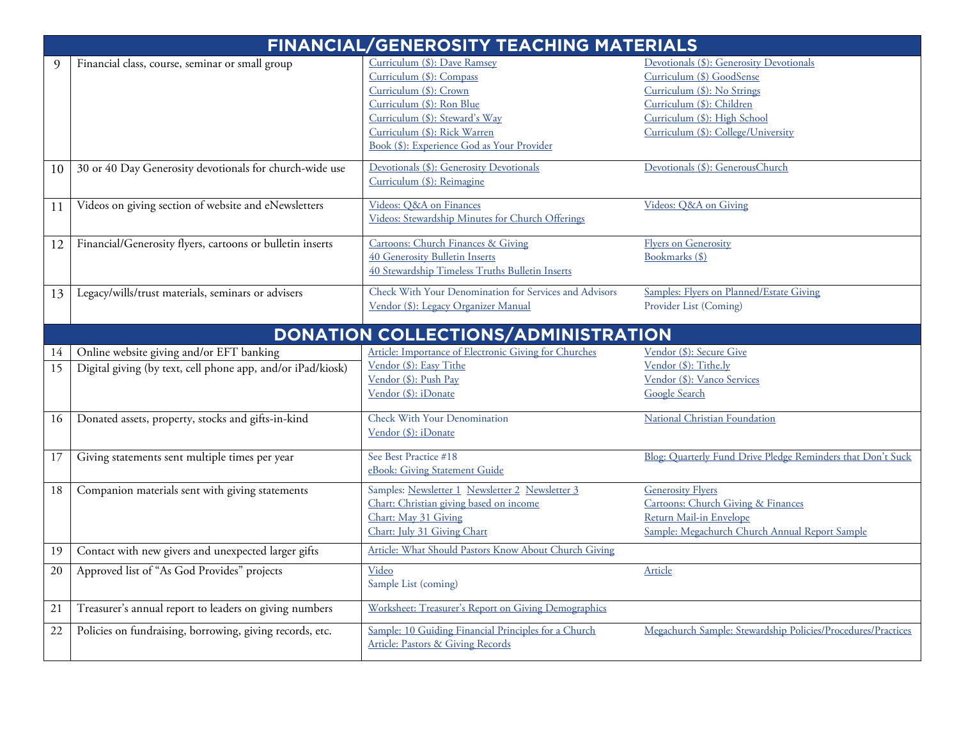| <b>FINANCIAL/GENEROSITY TEACHING MATERIALS</b> |                                                                                                         |                                                                                                                                                                                                                                 |                                                                                                                                                                                                          |  |  |
|------------------------------------------------|---------------------------------------------------------------------------------------------------------|---------------------------------------------------------------------------------------------------------------------------------------------------------------------------------------------------------------------------------|----------------------------------------------------------------------------------------------------------------------------------------------------------------------------------------------------------|--|--|
| 9                                              | Financial class, course, seminar or small group                                                         | Curriculum (\$): Dave Ramsey<br>Curriculum (\$): Compass<br>Curriculum (\$): Crown<br>Curriculum (\$): Ron Blue<br>Curriculum (\$): Steward's Way<br>Curriculum (\$): Rick Warren<br>Book (\$): Experience God as Your Provider | Devotionals (\$): Generosity Devotionals<br>Curriculum (\$) GoodSense<br>Curriculum (\$): No Strings<br>Curriculum (\$): Children<br>Curriculum (\$): High School<br>Curriculum (\$): College/University |  |  |
| 10                                             | 30 or 40 Day Generosity devotionals for church-wide use                                                 | Devotionals (\$): Generosity Devotionals<br>Curriculum (\$): Reimagine                                                                                                                                                          | Devotionals (\$): GenerousChurch                                                                                                                                                                         |  |  |
| 11                                             | Videos on giving section of website and eNewsletters                                                    | Videos: O&A on Finances<br>Videos: Stewardship Minutes for Church Offerings                                                                                                                                                     | Videos: Q&A on Giving                                                                                                                                                                                    |  |  |
| 12                                             | Financial/Generosity flyers, cartoons or bulletin inserts                                               | Cartoons: Church Finances & Giving<br>40 Generosity Bulletin Inserts<br>40 Stewardship Timeless Truths Bulletin Inserts                                                                                                         | <b>Flyers on Generosity</b><br>Bookmarks (\$)                                                                                                                                                            |  |  |
| 13                                             | Legacy/wills/trust materials, seminars or advisers                                                      | Check With Your Denomination for Services and Advisors<br>Vendor (\$): Legacy Organizer Manual                                                                                                                                  | Samples: Flyers on Planned/Estate Giving<br>Provider List (Coming)                                                                                                                                       |  |  |
|                                                |                                                                                                         | DONATION COLLECTIONS/ADMINISTRATION                                                                                                                                                                                             |                                                                                                                                                                                                          |  |  |
| 14<br>15                                       | Online website giving and/or EFT banking<br>Digital giving (by text, cell phone app, and/or iPad/kiosk) | Article: Importance of Electronic Giving for Churches<br>Vendor (\$): Easy Tithe<br>Vendor (\$): Push Pay<br>Vendor (\$): iDonate                                                                                               | Vendor (\$): Secure Give<br>Vendor (\$): Tithe.ly<br>Vendor (\$): Vanco Services<br>Google Search                                                                                                        |  |  |
| 16                                             | Donated assets, property, stocks and gifts-in-kind                                                      | Check With Your Denomination<br>Vendor (\$): iDonate                                                                                                                                                                            | <b>National Christian Foundation</b>                                                                                                                                                                     |  |  |
| 17                                             | Giving statements sent multiple times per year                                                          | See Best Practice #18<br>eBook: Giving Statement Guide                                                                                                                                                                          | Blog: Quarterly Fund Drive Pledge Reminders that Don't Suck                                                                                                                                              |  |  |
| 18                                             | Companion materials sent with giving statements                                                         | Samples: Newsletter 1 Newsletter 2 Newsletter 3<br>Chart: Christian giving based on income<br>Chart: May 31 Giving<br>Chart: July 31 Giving Chart                                                                               | <b>Generosity Flyers</b><br><b>Cartoons: Church Giving &amp; Finances</b><br>Return Mail-in Envelope<br>Sample: Megachurch Church Annual Report Sample                                                   |  |  |
| 19                                             | Contact with new givers and unexpected larger gifts                                                     | Article: What Should Pastors Know About Church Giving                                                                                                                                                                           |                                                                                                                                                                                                          |  |  |
| 20                                             | Approved list of "As God Provides" projects                                                             | Video<br>Sample List (coming)                                                                                                                                                                                                   | Article                                                                                                                                                                                                  |  |  |
| 21                                             | Treasurer's annual report to leaders on giving numbers                                                  | Worksheet: Treasurer's Report on Giving Demographics                                                                                                                                                                            |                                                                                                                                                                                                          |  |  |
| $22\,$                                         | Policies on fundraising, borrowing, giving records, etc.                                                | Sample: 10 Guiding Financial Principles for a Church<br><b>Article: Pastors &amp; Giving Records</b>                                                                                                                            | Megachurch Sample: Stewardship Policies/Procedures/Practices                                                                                                                                             |  |  |